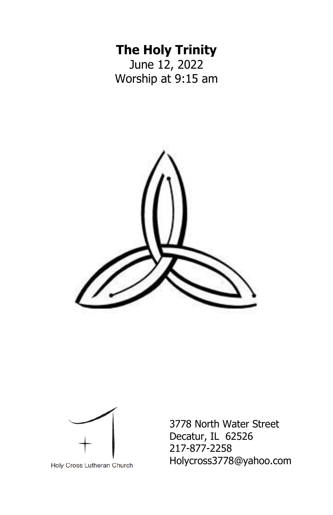# **The Holy Trinity**

June 12, 2022 Worship at 9:15 am





Holy Cross Lutheran Church

3778 North Water Street Decatur, IL 62526 217-877-2258 Holycross3778@yahoo.com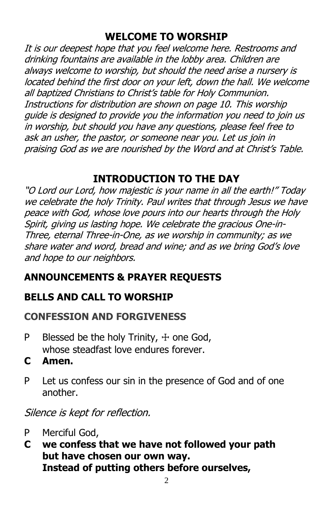# **WELCOME TO WORSHIP**

It is our deepest hope that you feel welcome here. Restrooms and drinking fountains are available in the lobby area. Children are always welcome to worship, but should the need arise a nursery is located behind the first door on your left, down the hall. We welcome all baptized Christians to Christ's table for Holy Communion. Instructions for distribution are shown on page 10. This worship guide is designed to provide you the information you need to join us in worship, but should you have any questions, please feel free to ask an usher, the pastor, or someone near you. Let us join in praising God as we are nourished by the Word and at Christ's Table.

# **INTRODUCTION TO THE DAY**

"O Lord our Lord, how majestic is your name in all the earth!" Today we celebrate the holy Trinity. Paul writes that through Jesus we have peace with God, whose love pours into our hearts through the Holy Spirit, giving us lasting hope. We celebrate the gracious One-in-Three, eternal Three-in-One, as we worship in community; as we share water and word, bread and wine; and as we bring God's love and hope to our neighbors.

# **ANNOUNCEMENTS & PRAYER REQUESTS**

# **BELLS AND CALL TO WORSHIP**

## **CONFESSION AND FORGIVENESS**

- P Blessed be the holy Trinity,  $+$  one God, whose steadfast love endures forever.
- **C Amen.**
- P Let us confess our sin in the presence of God and of one another.

Silence is kept for reflection.

- P Merciful God,
- **C we confess that we have not followed your path but have chosen our own way. Instead of putting others before ourselves,**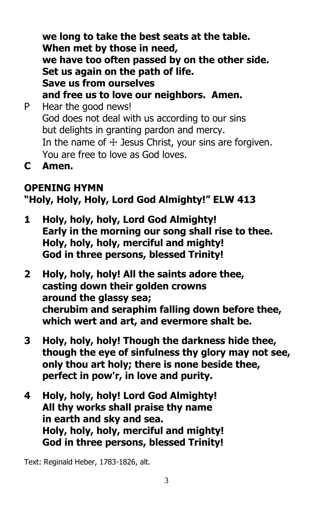**we long to take the best seats at the table. When met by those in need, we have too often passed by on the other side. Set us again on the path of life. Save us from ourselves and free us to love our neighbors. Amen.** P Hear the good news! God does not deal with us according to our sins but delights in granting pardon and mercy. In the name of  $+$  Jesus Christ, your sins are forgiven.

- You are free to love as God loves.
- **C Amen.**

# **OPENING HYMN**

# **"Holy, Holy, Holy, Lord God Almighty!" ELW 413**

- **1 Holy, holy, holy, Lord God Almighty! Early in the morning our song shall rise to thee. Holy, holy, holy, merciful and mighty! God in three persons, blessed Trinity!**
- **2 Holy, holy, holy! All the saints adore thee, casting down their golden crowns around the glassy sea; cherubim and seraphim falling down before thee, which wert and art, and evermore shalt be.**
- **3 Holy, holy, holy! Though the darkness hide thee, though the eye of sinfulness thy glory may not see, only thou art holy; there is none beside thee, perfect in pow'r, in love and purity.**
- **4 Holy, holy, holy! Lord God Almighty! All thy works shall praise thy name in earth and sky and sea. Holy, holy, holy, merciful and mighty! God in three persons, blessed Trinity!**

Text: Reginald Heber, 1783-1826, alt.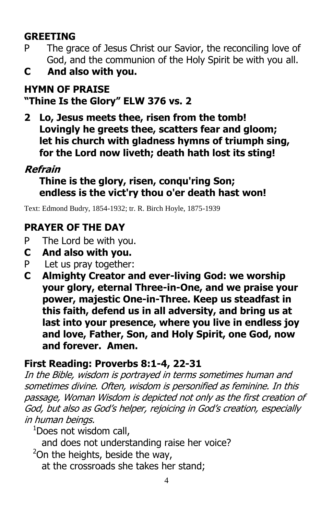# **GREETING**

- P The grace of Jesus Christ our Savior, the reconciling love of God, and the communion of the Holy Spirit be with you all.
- **C And also with you.**

## **HYMN OF PRAISE "Thine Is the Glory" ELW 376 vs. 2**

**2 Lo, Jesus meets thee, risen from the tomb! Lovingly he greets thee, scatters fear and gloom; let his church with gladness hymns of triumph sing, for the Lord now liveth; death hath lost its sting!** 

# **Refrain**

**Thine is the glory, risen, conqu'ring Son; endless is the vict'ry thou o'er death hast won!**

Text: Edmond Budry, 1854-1932; tr. R. Birch Hoyle, 1875-1939

# **PRAYER OF THE DAY**

- P The Lord be with you.
- **C And also with you.**
- P Let us pray together:
- **C Almighty Creator and ever-living God: we worship your glory, eternal Three-in-One, and we praise your power, majestic One-in-Three. Keep us steadfast in this faith, defend us in all adversity, and bring us at last into your presence, where you live in endless joy and love, Father, Son, and Holy Spirit, one God, now and forever. Amen.**

# **First Reading: Proverbs 8:1-4, 22-31**

In the Bible, wisdom is portrayed in terms sometimes human and sometimes divine. Often, wisdom is personified as feminine. In this passage, Woman Wisdom is depicted not only as the first creation of God, but also as God's helper, rejoicing in God's creation, especially in human beings.

 $1$ Does not wisdom call,

- and does not understanding raise her voice?
- $2$ On the heights, beside the way,
	- at the crossroads she takes her stand;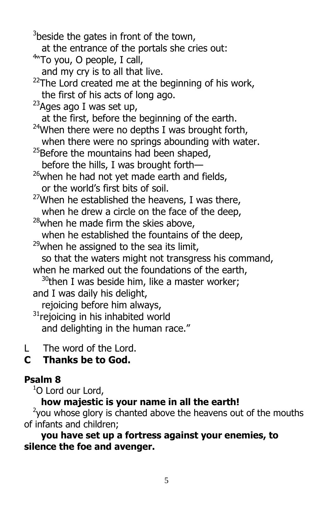$3$ beside the gates in front of the town, at the entrance of the portals she cries out: <sup>4</sup>"To you, O people, I call, and my cry is to all that live.  $22$ The Lord created me at the beginning of his work, the first of his acts of long ago.  $^{23}$ Ages ago I was set up, at the first, before the beginning of the earth.  $24$ When there were no depths I was brought forth, when there were no springs abounding with water. <sup>25</sup>Before the mountains had been shaped, before the hills, I was brought forth—  $26$ when he had not yet made earth and fields, or the world's first bits of soil.  $27$ When he established the heavens, I was there, when he drew a circle on the face of the deep. <sup>28</sup>when he made firm the skies above, when he established the fountains of the deep,  $^{29}$ when he assigned to the sea its limit, so that the waters might not transgress his command, when he marked out the foundations of the earth,  $30$ then I was beside him, like a master worker; and I was daily his delight, rejoicing before him always,  $31$ rejoicing in his inhabited world and delighting in the human race."

L The word of the Lord.

# **C Thanks be to God.**

#### **Psalm 8**

 $1$ O Lord our Lord,

**how majestic is your name in all the earth!**

 $2$ you whose glory is chanted above the heavens out of the mouths of infants and children;

**you have set up a fortress against your enemies, to silence the foe and avenger.**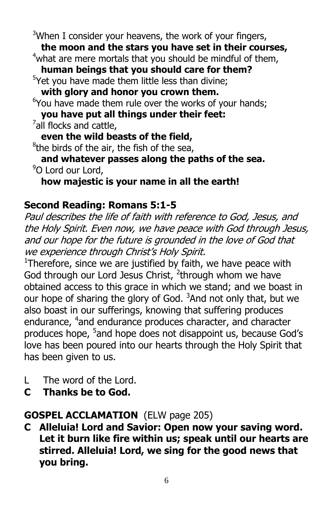$3$ When I consider your heavens, the work of your fingers,

**the moon and the stars you have set in their courses,**

 $4$ what are mere mortals that you should be mindful of them,

**human beings that you should care for them?**

<sup>5</sup>Yet you have made them little less than divine;

**with glory and honor you crown them.**

 $6$ You have made them rule over the works of your hands;

**you have put all things under their feet:**

 $\frac{7}{1}$ all flocks and cattle,

**even the wild beasts of the field,**

<sup>8</sup>the birds of the air, the fish of the sea,

**and whatever passes along the paths of the sea.** <sup>9</sup>O Lord our Lord,

**how majestic is your name in all the earth!**

## **Second Reading: Romans 5:1-5**

Paul describes the life of faith with reference to God, Jesus, and the Holy Spirit. Even now, we have peace with God through Jesus, and our hope for the future is grounded in the love of God that we experience through Christ's Holy Spirit.

 $1$ Therefore, since we are justified by faith, we have peace with God through our Lord Jesus Christ, <sup>2</sup>through whom we have obtained access to this grace in which we stand; and we boast in our hope of sharing the glory of God.  $3$ And not only that, but we also boast in our sufferings, knowing that suffering produces endurance, <sup>4</sup>and endurance produces character, and character produces hope, <sup>5</sup>and hope does not disappoint us, because God's love has been poured into our hearts through the Holy Spirit that has been given to us.

- L The word of the Lord.
- **C Thanks be to God.**

# **GOSPEL ACCLAMATION** (ELW page 205)

**C Alleluia! Lord and Savior: Open now your saving word. Let it burn like fire within us; speak until our hearts are stirred. Alleluia! Lord, we sing for the good news that you bring.**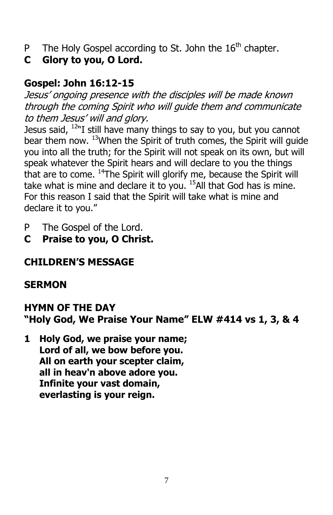- P The Holy Gospel according to St. John the  $16<sup>th</sup>$  chapter.
- **C Glory to you, O Lord.**

# **Gospel: John 16:12-15**

Jesus' ongoing presence with the disciples will be made known through the coming Spirit who will guide them and communicate to them Jesus' will and glory.

Jesus said,  $12^{N}I$  still have many things to say to you, but you cannot bear them now. <sup>13</sup>When the Spirit of truth comes, the Spirit will guide you into all the truth; for the Spirit will not speak on its own, but will speak whatever the Spirit hears and will declare to you the things that are to come. <sup>14</sup>The Spirit will glorify me, because the Spirit will take what is mine and declare it to you.  $^{15}$ All that God has is mine. For this reason I said that the Spirit will take what is mine and declare it to you."

- P The Gospel of the Lord.
- **C Praise to you, O Christ.**

# **CHILDREN'S MESSAGE**

# **SERMON**

#### **HYMN OF THE DAY "Holy God, We Praise Your Name" ELW #414 vs 1, 3, & 4**

**1 Holy God, we praise your name; Lord of all, we bow before you. All on earth your scepter claim, all in heav'n above adore you. Infinite your vast domain, everlasting is your reign.**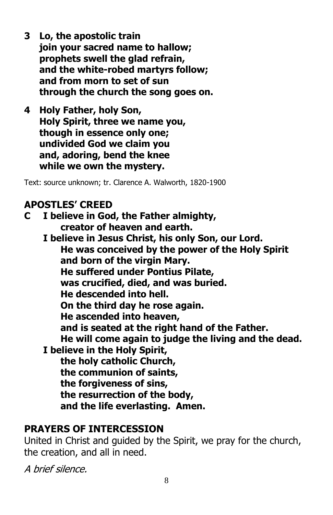- **3 Lo, the apostolic train join your sacred name to hallow; prophets swell the glad refrain, and the white-robed martyrs follow; and from morn to set of sun through the church the song goes on.**
- **4 Holy Father, holy Son, Holy Spirit, three we name you, though in essence only one; undivided God we claim you and, adoring, bend the knee while we own the mystery.**

Text: source unknown; tr. Clarence A. Walworth, 1820-1900

#### **APOSTLES' CREED**

**C I believe in God, the Father almighty, creator of heaven and earth.**

**I believe in Jesus Christ, his only Son, our Lord. He was conceived by the power of the Holy Spirit and born of the virgin Mary. He suffered under Pontius Pilate, was crucified, died, and was buried. He descended into hell. On the third day he rose again. He ascended into heaven, and is seated at the right hand of the Father. He will come again to judge the living and the dead. I believe in the Holy Spirit, the holy catholic Church, the communion of saints, the forgiveness of sins, the resurrection of the body, and the life everlasting. Amen.**

#### **PRAYERS OF INTERCESSION**

United in Christ and guided by the Spirit, we pray for the church, the creation, and all in need.

A brief silence.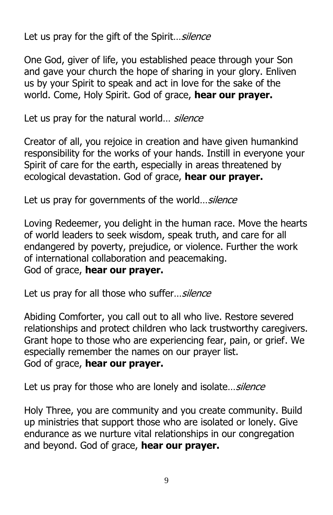Let us pray for the gift of the Spirit... silence

One God, giver of life, you established peace through your Son and gave your church the hope of sharing in your glory. Enliven us by your Spirit to speak and act in love for the sake of the world. Come, Holy Spirit. God of grace, **hear our prayer.**

Let us pray for the natural world... silence

Creator of all, you rejoice in creation and have given humankind responsibility for the works of your hands. Instill in everyone your Spirit of care for the earth, especially in areas threatened by ecological devastation. God of grace, **hear our prayer.**

Let us pray for governments of the world... silence

Loving Redeemer, you delight in the human race. Move the hearts of world leaders to seek wisdom, speak truth, and care for all endangered by poverty, prejudice, or violence. Further the work of international collaboration and peacemaking. God of grace, **hear our prayer.**

Let us pray for all those who suffer... silence

Abiding Comforter, you call out to all who live. Restore severed relationships and protect children who lack trustworthy caregivers. Grant hope to those who are experiencing fear, pain, or grief. We especially remember the names on our prayer list. God of grace, **hear our prayer.**

Let us pray for those who are lonely and isolate... silence

Holy Three, you are community and you create community. Build up ministries that support those who are isolated or lonely. Give endurance as we nurture vital relationships in our congregation and beyond. God of grace, **hear our prayer.**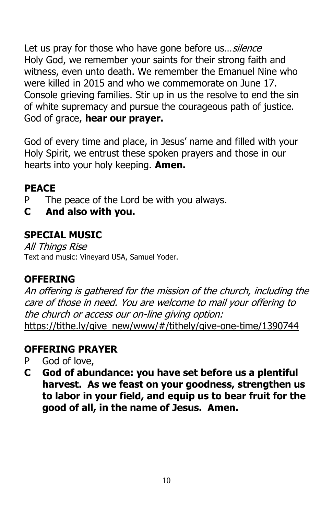Let us pray for those who have gone before us... silence Holy God, we remember your saints for their strong faith and witness, even unto death. We remember the Emanuel Nine who were killed in 2015 and who we commemorate on June 17. Console grieving families. Stir up in us the resolve to end the sin of white supremacy and pursue the courageous path of justice. God of grace, **hear our prayer.**

God of every time and place, in Jesus' name and filled with your Holy Spirit, we entrust these spoken prayers and those in our hearts into your holy keeping. **Amen.**

# **PEACE**

- P The peace of the Lord be with you always.
- **C And also with you.**

## **SPECIAL MUSIC**

All Things Rise Text and music: Vineyard USA, Samuel Yoder.

# **OFFERING**

An offering is gathered for the mission of the church, including the care of those in need. You are welcome to mail your offering to the church or access our on-line giving option: [https://tithe.ly/give\\_new/www/#/tithely/give-one-time/1390744](https://tithe.ly/give_new/www/#/tithely/give-one-time/1390744)

# **OFFERING PRAYER**

- P God of love,
- **C God of abundance: you have set before us a plentiful harvest. As we feast on your goodness, strengthen us to labor in your field, and equip us to bear fruit for the good of all, in the name of Jesus. Amen.**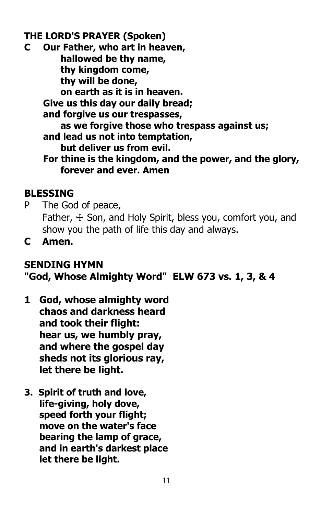#### **THE LORD'S PRAYER (Spoken)**

**C Our Father, who art in heaven, hallowed be thy name, thy kingdom come, thy will be done, on earth as it is in heaven. Give us this day our daily bread; and forgive us our trespasses, as we forgive those who trespass against us; and lead us not into temptation, but deliver us from evil. For thine is the kingdom, and the power, and the glory, forever and ever. Amen**

#### **BLESSING**

- P The God of peace, Father,  $\pm$  Son, and Holy Spirit, bless you, comfort you, and show you the path of life this day and always.
- **C Amen.**

# **SENDING HYMN**

# **"God, Whose Almighty Word" ELW 673 vs. 1, 3, & 4**

- **1 God, whose almighty word chaos and darkness heard and took their flight: hear us, we humbly pray, and where the gospel day sheds not its glorious ray, let there be light.**
- **3. Spirit of truth and love, life-giving, holy dove, speed forth your flight; move on the water's face bearing the lamp of grace, and in earth's darkest place let there be light.**